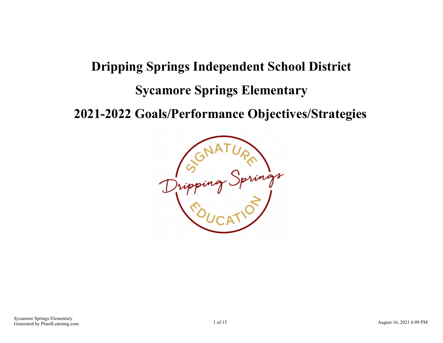# **Dripping Springs Independent School District Sycamore Springs Elementary**

**2021-2022 Goals/Performance Objectives/Strategies**

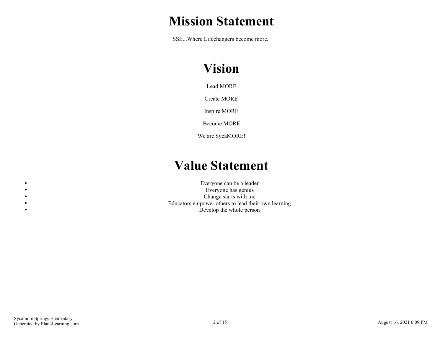## **Mission Statement**

SSE...Where Lifechangers become more.

# **Vision**

Lead MORE

Create MORE

Inspire MORE

Become MORE

We are SycaMORE!

## **Value Statement**

Everyone can be a leader Everyone has genius Change starts with me Educators empower others to lead their own learning Develop the whole person

 $\bullet$  $\bullet$  $\bullet$  $\bullet$  $\bullet$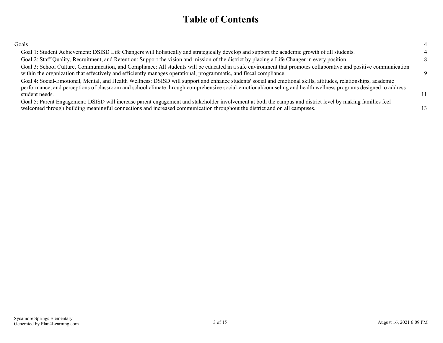## **Table of Contents**

| Goals                                                                                                                                                                                                                                                                                                                                                |    |
|------------------------------------------------------------------------------------------------------------------------------------------------------------------------------------------------------------------------------------------------------------------------------------------------------------------------------------------------------|----|
| Goal 1: Student Achievement: DSISD Life Changers will holistically and strategically develop and support the academic growth of all students.                                                                                                                                                                                                        |    |
| Goal 2: Staff Quality, Recruitment, and Retention: Support the vision and mission of the district by placing a Life Changer in every position.                                                                                                                                                                                                       |    |
| Goal 3: School Culture, Communication, and Compliance: All students will be educated in a safe environment that promotes collaborative and positive communication<br>within the organization that effectively and efficiently manages operational, programmatic, and fiscal compliance.                                                              | Q  |
| Goal 4: Social-Emotional, Mental, and Health Wellness: DSISD will support and enhance students' social and emotional skills, attitudes, relationships, academic<br>performance, and perceptions of classroom and school climate through comprehensive social-emotional/counseling and health wellness programs designed to address<br>student needs. | 11 |
| Goal 5: Parent Engagement: DSISD will increase parent engagement and stakeholder involvement at both the campus and district level by making families feel<br>welcomed through building meaningful connections and increased communication throughout the district and on all campuses.                                                              |    |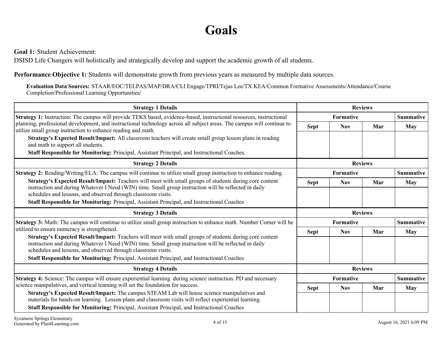## **Goals**

<span id="page-3-0"></span>**Goal 1:** Student Achievement:

DSISD Life Changers will holistically and strategically develop and support the academic growth of all students.

**Performance Objective 1:** Students will demonstrate growth from previous years as measured by multiple data sources.

**Evaluation Data Sources:** STAAR/EOC/TELPAS/MAP/DRA/CLI Engage/TPRI/Tejas Lee/TX KEA/Common Formative Assessments/Attendance/Course Completion/Professional Learning Opportunities/

| <b>Strategy 1 Details</b>                                                                                                                                                                                                                                                                                             | <b>Reviews</b>   |                  |                |                  |
|-----------------------------------------------------------------------------------------------------------------------------------------------------------------------------------------------------------------------------------------------------------------------------------------------------------------------|------------------|------------------|----------------|------------------|
| Strategy 1: Instruction: The campus will provide TEKS based, evidence-based, instructional resources, instructional                                                                                                                                                                                                   |                  | <b>Formative</b> |                | <b>Summative</b> |
| planning, professional development, and instructional technology across all subject areas. The campus will continue to                                                                                                                                                                                                | <b>Sept</b>      | <b>Nov</b>       | Mar            | <b>May</b>       |
| utilize small group instruction to enhance reading and math.<br>Strategy's Expected Result/Impact: All classroom teachers will create small group lesson plans in reading<br>and math to support all students.<br><b>Staff Responsible for Monitoring:</b> Principal, Assistant Principal, and Instructional Coaches. |                  |                  |                |                  |
| <b>Strategy 2 Details</b>                                                                                                                                                                                                                                                                                             | <b>Reviews</b>   |                  |                |                  |
| <b>Strategy 2:</b> Reading/Writing/ELA: The campus will continue to utilize small group instruction to enhance reading.                                                                                                                                                                                               |                  | <b>Formative</b> |                | <b>Summative</b> |
| Strategy's Expected Result/Impact: Teachers will meet with small groups of students during core content                                                                                                                                                                                                               | <b>Sept</b>      | <b>Nov</b>       | Mar            | May              |
| instruction and during Whatever I Need (WIN) time. Small group instruction will be reflected in daily<br>schedules and lessons, and observed through classroom visits.                                                                                                                                                |                  |                  |                |                  |
| <b>Staff Responsible for Monitoring:</b> Principal, Assistant Principal, and Instructional Coaches                                                                                                                                                                                                                    |                  |                  |                |                  |
| <b>Strategy 3 Details</b>                                                                                                                                                                                                                                                                                             |                  |                  | <b>Reviews</b> |                  |
|                                                                                                                                                                                                                                                                                                                       | <b>Formative</b> |                  |                | <b>Summative</b> |
| Strategy 3: Math: The campus will continue to utilize small group instruction to enhance math. Number Corner will be                                                                                                                                                                                                  |                  |                  |                |                  |
| utilized to ensure numeracy is strengthened.                                                                                                                                                                                                                                                                          | <b>Sept</b>      | <b>Nov</b>       | Mar            | May              |
| Strategy's Expected Result/Impact: Teachers will meet with small groups of students during core content<br>instruction and during Whatever I Need (WIN) time. Small group instruction will be reflected in daily<br>schedules and lessons, and observed through classroom visits.                                     |                  |                  |                |                  |
| <b>Staff Responsible for Monitoring:</b> Principal, Assistant Principal, and Instructional Coaches                                                                                                                                                                                                                    |                  |                  |                |                  |
| <b>Strategy 4 Details</b>                                                                                                                                                                                                                                                                                             |                  |                  | <b>Reviews</b> |                  |
| Strategy 4: Science: The campus will ensure experiential learning during science instruction. PD and necessary                                                                                                                                                                                                        |                  | <b>Formative</b> |                | <b>Summative</b> |
| science manipulatives, and vertical teaming will set the foundation for success.<br><b>Strategy's Expected Result/Impact:</b> The campus STEAM Lab will house science manipulatives and                                                                                                                               | <b>Sept</b>      | <b>Nov</b>       | Mar            | May              |
| materials for hands-on learning. Lesson plans and classroom visits will reflect experiential learning.                                                                                                                                                                                                                |                  |                  |                |                  |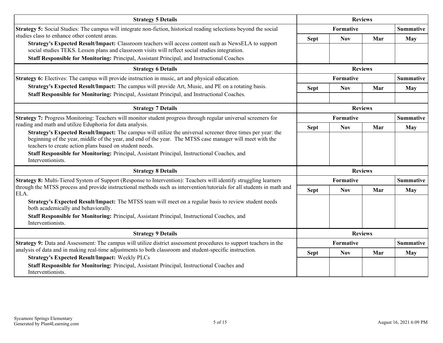| <b>Strategy 5 Details</b>                                                                                                                                                                                                                                                                                                                                                                               |                | <b>Reviews</b>   |                |                  |
|---------------------------------------------------------------------------------------------------------------------------------------------------------------------------------------------------------------------------------------------------------------------------------------------------------------------------------------------------------------------------------------------------------|----------------|------------------|----------------|------------------|
| Strategy 5: Social Studies: The campus will integrate non-fiction, historical reading selections beyond the social                                                                                                                                                                                                                                                                                      |                | <b>Formative</b> |                | <b>Summative</b> |
| studies class to enhance other content areas.                                                                                                                                                                                                                                                                                                                                                           | <b>Sept</b>    | <b>Nov</b>       | Mar            | May              |
| Strategy's Expected Result/Impact: Classroom teachers will access content such as NewsELA to support<br>social studies TEKS. Lesson plans and classroom visits will reflect social studies integration.                                                                                                                                                                                                 |                |                  |                |                  |
| Staff Responsible for Monitoring: Principal, Assistant Principal, and Instructional Coaches                                                                                                                                                                                                                                                                                                             |                |                  |                |                  |
| <b>Strategy 6 Details</b>                                                                                                                                                                                                                                                                                                                                                                               | <b>Reviews</b> |                  |                |                  |
| <b>Strategy 6:</b> Electives: The campus will provide instruction in music, art and physical education.                                                                                                                                                                                                                                                                                                 |                | <b>Formative</b> |                | <b>Summative</b> |
| Strategy's Expected Result/Impact: The campus will provide Art, Music, and PE on a rotating basis.                                                                                                                                                                                                                                                                                                      | <b>Sept</b>    | <b>Nov</b>       | Mar            | <b>May</b>       |
| Staff Responsible for Monitoring: Principal, Assistant Principal, and Instructional Coaches.                                                                                                                                                                                                                                                                                                            |                |                  |                |                  |
| <b>Strategy 7 Details</b>                                                                                                                                                                                                                                                                                                                                                                               |                | <b>Reviews</b>   |                |                  |
| Strategy 7: Progress Monitoring: Teachers will monitor student progress through regular universal screeners for                                                                                                                                                                                                                                                                                         |                | <b>Formative</b> |                |                  |
| reading and math and utilize Eduphoria for data analysis.                                                                                                                                                                                                                                                                                                                                               | <b>Sept</b>    | <b>Nov</b>       | Mar            | <b>May</b>       |
| Strategy's Expected Result/Impact: The campus will utilize the universal screener three times per year: the<br>beginning of the year, middle of the year, and end of the year. The MTSS case manager will meet with the<br>teachers to create action plans based on student needs.<br>Staff Responsible for Monitoring: Principal, Assistant Principal, Instructional Coaches, and<br>Interventionists. |                |                  |                |                  |
| <b>Strategy 8 Details</b>                                                                                                                                                                                                                                                                                                                                                                               |                |                  | <b>Reviews</b> |                  |
| <b>Strategy 8:</b> Multi-Tiered System of Support (Response to Intervention): Teachers will identify struggling learners                                                                                                                                                                                                                                                                                |                | <b>Formative</b> |                | <b>Summative</b> |
| through the MTSS process and provide instructional methods such as intervention/tutorials for all students in math and<br>ELA.                                                                                                                                                                                                                                                                          | <b>Sept</b>    | <b>Nov</b>       | Mar            | <b>May</b>       |
| Strategy's Expected Result/Impact: The MTSS team will meet on a regular basis to review student needs<br>both academically and behaviorally.                                                                                                                                                                                                                                                            |                |                  |                |                  |
| Staff Responsible for Monitoring: Principal, Assistant Principal, Instructional Coaches, and<br>Interventionists.                                                                                                                                                                                                                                                                                       |                |                  |                |                  |
| <b>Strategy 9 Details</b>                                                                                                                                                                                                                                                                                                                                                                               |                |                  | <b>Reviews</b> |                  |
| Strategy 9: Data and Assessment: The campus will utilize district assessment procedures to support teachers in the                                                                                                                                                                                                                                                                                      |                | <b>Formative</b> |                | <b>Summative</b> |
| analysis of data and in making real-time adjustments to both classroom and student-specific instruction.<br><b>Strategy's Expected Result/Impact: Weekly PLCs</b>                                                                                                                                                                                                                                       | <b>Sept</b>    | <b>Nov</b>       | Mar            | <b>May</b>       |
| Staff Responsible for Monitoring: Principal, Assistant Principal, Instructional Coaches and<br>Interventionists.                                                                                                                                                                                                                                                                                        |                |                  |                |                  |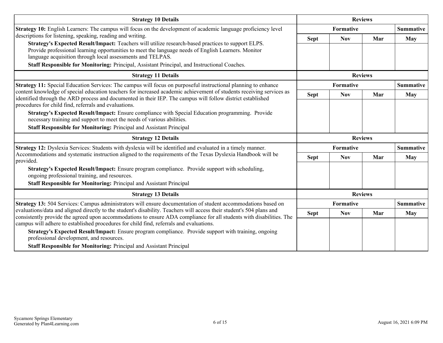| <b>Strategy 10 Details</b>                                                                                                                                                                                                                                                                                        | <b>Reviews</b> |                  |                |                  |
|-------------------------------------------------------------------------------------------------------------------------------------------------------------------------------------------------------------------------------------------------------------------------------------------------------------------|----------------|------------------|----------------|------------------|
| Strategy 10: English Learners: The campus will focus on the development of academic language proficiency level                                                                                                                                                                                                    |                | <b>Formative</b> |                | <b>Summative</b> |
| descriptions for listening, speaking, reading and writing.                                                                                                                                                                                                                                                        | <b>Sept</b>    | <b>Nov</b>       | Mar            | <b>May</b>       |
| Strategy's Expected Result/Impact: Teachers will utilize research-based practices to support ELPS.<br>Provide professional learning opportunities to meet the language needs of English Learners. Monitor<br>language acquisition through local assessments and TELPAS.                                           |                |                  |                |                  |
| Staff Responsible for Monitoring: Principal, Assistant Principal, and Instructional Coaches.                                                                                                                                                                                                                      |                |                  |                |                  |
| <b>Strategy 11 Details</b>                                                                                                                                                                                                                                                                                        |                | <b>Reviews</b>   |                |                  |
| <b>Strategy 11:</b> Special Education Services: The campus will focus on purposeful instructional planning to enhance                                                                                                                                                                                             |                | Formative        |                | <b>Summative</b> |
| content knowledge of special education teachers for increased academic achievement of students receiving services as<br>identified through the ARD process and documented in their IEP. The campus will follow district established                                                                               | <b>Sept</b>    | <b>Nov</b>       | Mar            | <b>May</b>       |
| procedures for child find, referrals and evaluations.<br><b>Strategy's Expected Result/Impact:</b> Ensure compliance with Special Education programming. Provide<br>necessary training and support to meet the needs of various abilities.<br>Staff Responsible for Monitoring: Principal and Assistant Principal |                |                  |                |                  |
| <b>Strategy 12 Details</b>                                                                                                                                                                                                                                                                                        |                |                  | <b>Reviews</b> |                  |
|                                                                                                                                                                                                                                                                                                                   |                |                  |                | <b>Summative</b> |
| <b>Strategy 12:</b> Dyslexia Services: Students with dyslexia will be identified and evaluated in a timely manner.                                                                                                                                                                                                |                | Formative        |                |                  |
| Accommodations and systematic instruction aligned to the requirements of the Texas Dyslexia Handbook will be                                                                                                                                                                                                      | <b>Sept</b>    | <b>Nov</b>       | Mar            | <b>May</b>       |
| provided.<br>Strategy's Expected Result/Impact: Ensure program compliance. Provide support with scheduling,<br>ongoing professional training, and resources.<br>Staff Responsible for Monitoring: Principal and Assistant Principal                                                                               |                |                  |                |                  |
| <b>Strategy 13 Details</b>                                                                                                                                                                                                                                                                                        |                |                  | <b>Reviews</b> |                  |
| Strategy 13: 504 Services: Campus administrators will ensure documentation of student accommodations based on                                                                                                                                                                                                     |                | <b>Formative</b> |                | <b>Summative</b> |
| evaluations/data and aligned directly to the student's disability. Teachers will access their student's 504 plans and<br>consistently provide the agreed upon accommodations to ensure ADA compliance for all students with disabilities. The                                                                     | <b>Sept</b>    | <b>Nov</b>       | Mar            | May              |
| campus will adhere to established procedures for child find, referrals and evaluations.<br>Strategy's Expected Result/Impact: Ensure program compliance. Provide support with training, ongoing<br>professional development, and resources.                                                                       |                |                  |                |                  |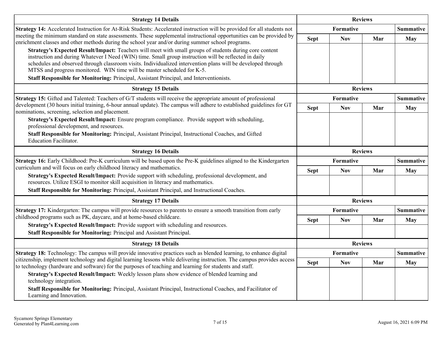| <b>Strategy 14 Details</b>                                                                                                                                                                                                                                                                                                                                                                                  |             | <b>Reviews</b>   |                |                  |
|-------------------------------------------------------------------------------------------------------------------------------------------------------------------------------------------------------------------------------------------------------------------------------------------------------------------------------------------------------------------------------------------------------------|-------------|------------------|----------------|------------------|
| Strategy 14: Accelerated Instruction for At-Risk Students: Accelerated instruction will be provided for all students not                                                                                                                                                                                                                                                                                    |             | <b>Formative</b> |                | <b>Summative</b> |
| meeting the minimum standard on state assessments. These supplemental instructional opportunities can be provided by<br>enrichment classes and other methods during the school year and/or during summer school programs.                                                                                                                                                                                   | <b>Sept</b> | <b>Nov</b>       | Mar            | <b>May</b>       |
| Strategy's Expected Result/Impact: Teachers will meet with small groups of students during core content<br>instruction and during Whatever I Need (WIN) time. Small group instruction will be reflected in daily<br>schedules and observed through classroom visits. Individualized intervention plans will be developed through<br>MTSS and progress monitored. WIN time will be master scheduled for K-5. |             |                  |                |                  |
| Staff Responsible for Monitoring: Principal, Assistant Principal, and Interventionists.                                                                                                                                                                                                                                                                                                                     |             |                  |                |                  |
| <b>Strategy 15 Details</b>                                                                                                                                                                                                                                                                                                                                                                                  |             | <b>Reviews</b>   |                |                  |
| <b>Strategy 15:</b> Gifted and Talented: Teachers of G/T students will receive the appropriate amount of professional                                                                                                                                                                                                                                                                                       |             | <b>Formative</b> |                | <b>Summative</b> |
| development (30 hours initial training, 6-hour annual update). The campus will adhere to established guidelines for GT<br>nominations, screening, selection and placement.                                                                                                                                                                                                                                  | <b>Sept</b> | <b>Nov</b>       | Mar            | May              |
| Strategy's Expected Result/Impact: Ensure program compliance. Provide support with scheduling,<br>professional development, and resources.                                                                                                                                                                                                                                                                  |             |                  |                |                  |
| Staff Responsible for Monitoring: Principal, Assistant Principal, Instructional Coaches, and Gifted<br><b>Education Facilitator.</b>                                                                                                                                                                                                                                                                        |             |                  |                |                  |
| <b>Strategy 16 Details</b>                                                                                                                                                                                                                                                                                                                                                                                  |             | <b>Reviews</b>   |                |                  |
| Strategy 16: Early Childhood: Pre-K curriculum will be based upon the Pre-K guidelines aligned to the Kindergarten                                                                                                                                                                                                                                                                                          |             | Formative        |                | <b>Summative</b> |
| curriculum and will focus on early childhood literacy and mathematics.<br>Strategy's Expected Result/Impact: Provide support with scheduling, professional development, and                                                                                                                                                                                                                                 | <b>Sept</b> | <b>Nov</b>       | Mar            | <b>May</b>       |
| resources. Utilize ESGI to monitor skill acquisition in literacy and mathematics.                                                                                                                                                                                                                                                                                                                           |             |                  |                |                  |
| Staff Responsible for Monitoring: Principal, Assistant Principal, and Instructional Coaches.                                                                                                                                                                                                                                                                                                                |             |                  |                |                  |
| <b>Strategy 17 Details</b>                                                                                                                                                                                                                                                                                                                                                                                  |             |                  | <b>Reviews</b> |                  |
| Strategy 17: Kindergarten: The campus will provide resources to parents to ensure a smooth transition from early                                                                                                                                                                                                                                                                                            |             | Formative        |                | <b>Summative</b> |
| childhood programs such as PK, daycare, and at home-based childcare.                                                                                                                                                                                                                                                                                                                                        | <b>Sept</b> | <b>Nov</b>       | Mar            | May              |
| Strategy's Expected Result/Impact: Provide support with scheduling and resources.<br>Staff Responsible for Monitoring: Principal and Assistant Principal.                                                                                                                                                                                                                                                   |             |                  |                |                  |
| <b>Strategy 18 Details</b>                                                                                                                                                                                                                                                                                                                                                                                  |             |                  | <b>Reviews</b> |                  |
| Strategy 18: Technology: The campus will provide innovative practices such as blended learning, to enhance digital                                                                                                                                                                                                                                                                                          |             | Formative        |                | <b>Summative</b> |
| citizenship, implement technology and digital learning lessons while delivering instruction. The campus provides access<br>to technology (hardware and software) for the purposes of teaching and learning for students and staff.                                                                                                                                                                          | <b>Sept</b> | <b>Nov</b>       | Mar            | <b>May</b>       |
| Strategy's Expected Result/Impact: Weekly lesson plans show evidence of blended learning and<br>technology integration.                                                                                                                                                                                                                                                                                     |             |                  |                |                  |
| Staff Responsible for Monitoring: Principal, Assistant Principal, Instructional Coaches, and Facilitator of<br>Learning and Innovation.                                                                                                                                                                                                                                                                     |             |                  |                |                  |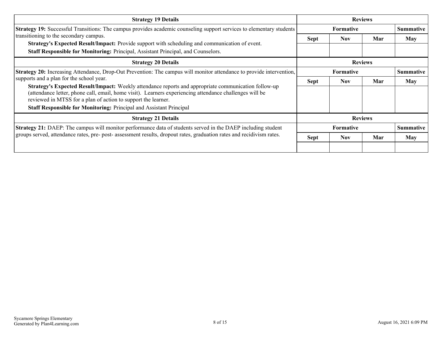| <b>Strategy 19 Details</b>                                                                                                                                                                                                                                                       | <b>Reviews</b>   |                  |     |                  |  |
|----------------------------------------------------------------------------------------------------------------------------------------------------------------------------------------------------------------------------------------------------------------------------------|------------------|------------------|-----|------------------|--|
| Strategy 19: Successful Transitions: The campus provides academic counseling support services to elementary students                                                                                                                                                             |                  | <b>Formative</b> |     | <b>Summative</b> |  |
| transitioning to the secondary campus.<br>Strategy's Expected Result/Impact: Provide support with scheduling and communication of event.<br>Staff Responsible for Monitoring: Principal, Assistant Principal, and Counselors.                                                    | <b>Sept</b>      | <b>Nov</b>       | Mar | May              |  |
| <b>Strategy 20 Details</b>                                                                                                                                                                                                                                                       |                  | <b>Reviews</b>   |     |                  |  |
| Strategy 20: Increasing Attendance, Drop-Out Prevention: The campus will monitor attendance to provide intervention,                                                                                                                                                             | <b>Formative</b> |                  |     | <b>Summative</b> |  |
| supports and a plan for the school year.                                                                                                                                                                                                                                         | <b>Sept</b>      | <b>Nov</b>       | Mar | May              |  |
| Strategy's Expected Result/Impact: Weekly attendance reports and appropriate communication follow-up<br>(attendance letter, phone call, email, home visit). Learners experiencing attendance challenges will be<br>reviewed in MTSS for a plan of action to support the learner. |                  |                  |     |                  |  |
| <b>Staff Responsible for Monitoring: Principal and Assistant Principal</b>                                                                                                                                                                                                       |                  |                  |     |                  |  |
| <b>Strategy 21 Details</b>                                                                                                                                                                                                                                                       | <b>Reviews</b>   |                  |     |                  |  |
| <b>Strategy 21:</b> DAEP: The campus will monitor performance data of students served in the DAEP including student                                                                                                                                                              |                  | <b>Formative</b> |     | <b>Summative</b> |  |
| groups served, attendance rates, pre- post- assessment results, dropout rates, graduation rates and recidivism rates.                                                                                                                                                            | <b>Sept</b>      | <b>Nov</b>       | Mar | May              |  |
|                                                                                                                                                                                                                                                                                  |                  |                  |     |                  |  |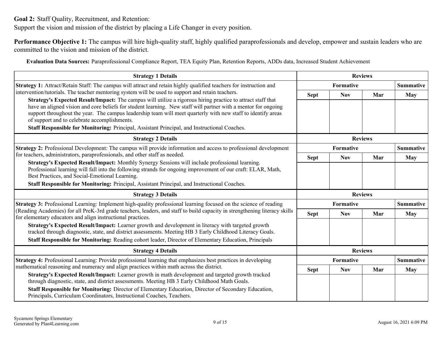<span id="page-8-0"></span>**Goal 2:** Staff Quality, Recruitment, and Retention:

Support the vision and mission of the district by placing a Life Changer in every position.

**Performance Objective 1:** The campus will hire high-quality staff, highly qualified paraprofessionals and develop, empower and sustain leaders who are committed to the vision and mission of the district.

**Evaluation Data Sources:** Paraprofessional Compliance Report, TEA Equity Plan, Retention Reports, ADDs data, Increased Student Achievement

| <b>Strategy 1 Details</b>                                                                                                                                                                                                                                                                                                                                                                     | <b>Reviews</b> |            |                |                  |
|-----------------------------------------------------------------------------------------------------------------------------------------------------------------------------------------------------------------------------------------------------------------------------------------------------------------------------------------------------------------------------------------------|----------------|------------|----------------|------------------|
| <b>Strategy 1:</b> Attract/Retain Staff: The campus will attract and retain highly qualified teachers for instruction and                                                                                                                                                                                                                                                                     |                | Formative  |                | <b>Summative</b> |
| intervention/tutorials. The teacher mentoring system will be used to support and retain teachers.                                                                                                                                                                                                                                                                                             | <b>Sept</b>    | <b>Nov</b> | Mar            | <b>May</b>       |
| Strategy's Expected Result/Impact: The campus will utilize a rigorous hiring practice to attract staff that<br>have an aligned vision and core beliefs for student learning. New staff will partner with a mentor for ongoing<br>support throughout the year. The campus leadership team will meet quarterly with new staff to identify areas<br>of support and to celebrate accomplishments. |                |            |                |                  |
| <b>Staff Responsible for Monitoring:</b> Principal, Assistant Principal, and Instructional Coaches.                                                                                                                                                                                                                                                                                           |                |            |                |                  |
| <b>Strategy 2 Details</b>                                                                                                                                                                                                                                                                                                                                                                     | <b>Reviews</b> |            |                |                  |
| <b>Strategy 2:</b> Professional Development: The campus will provide information and access to professional development                                                                                                                                                                                                                                                                       |                | Formative  |                | <b>Summative</b> |
| for teachers, administrators, paraprofessionals, and other staff as needed.                                                                                                                                                                                                                                                                                                                   | <b>Sept</b>    | <b>Nov</b> | Mar            | <b>May</b>       |
| Strategy's Expected Result/Impact: Monthly Synergy Sessions will include professional learning.<br>Professional learning will fall into the following strands for ongoing improvement of our craft: ELAR, Math,<br>Best Practices, and Social-Emotional Learning.<br>Staff Responsible for Monitoring: Principal, Assistant Principal, and Instructional Coaches.                             |                |            |                |                  |
| <b>Strategy 3 Details</b>                                                                                                                                                                                                                                                                                                                                                                     |                |            | <b>Reviews</b> |                  |
|                                                                                                                                                                                                                                                                                                                                                                                               |                |            |                |                  |
| Strategy 3: Professional Learning: Implement high-quality professional learning focused on the science of reading<br>(Reading Academies) for all PreK-3rd grade teachers, leaders, and staff to build capacity in strengthening literacy skills                                                                                                                                               |                | Formative  |                | <b>Summative</b> |
| for elementary educators and align instructional practices.                                                                                                                                                                                                                                                                                                                                   | <b>Sept</b>    | <b>Nov</b> | Mar            | <b>May</b>       |
| Strategy's Expected Result/Impact: Learner growth and development in literacy with targeted growth<br>tracked through diagnostic, state, and district assessments. Meeting HB 3 Early Childhood Literacy Goals.<br>Staff Responsible for Monitoring: Reading cohort leader, Director of Elementary Education, Principals                                                                      |                |            |                |                  |
| <b>Strategy 4 Details</b>                                                                                                                                                                                                                                                                                                                                                                     |                |            | <b>Reviews</b> |                  |
| <b>Strategy 4:</b> Professional Learning: Provide professional learning that emphasizes best practices in developing                                                                                                                                                                                                                                                                          |                | Formative  |                | <b>Summative</b> |
| mathematical reasoning and numeracy and align practices within math across the district.                                                                                                                                                                                                                                                                                                      | <b>Sept</b>    | <b>Nov</b> | Mar            | <b>May</b>       |
| Strategy's Expected Result/Impact: Learner growth in math development and targeted growth tracked<br>through diagnostic, state, and district assessments. Meeting HB 3 Early Childhood Math Goals.                                                                                                                                                                                            |                |            |                |                  |
| Staff Responsible for Monitoring: Director of Elementary Education, Director of Secondary Education,<br>Principals, Curriculum Coordinators, Instructional Coaches, Teachers.                                                                                                                                                                                                                 |                |            |                |                  |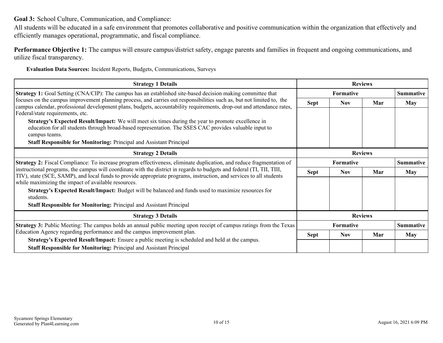<span id="page-9-0"></span>**Goal 3:** School Culture, Communication, and Compliance:

All students will be educated in a safe environment that promotes collaborative and positive communication within the organization that effectively and efficiently manages operational, programmatic, and fiscal compliance.

**Performance Objective 1:** The campus will ensure campus/district safety, engage parents and families in frequent and ongoing communications, and utilize fiscal transparency.

**Evaluation Data Sources:** Incident Reports, Budgets, Communications, Surveys

| <b>Strategy 1 Details</b>                                                                                                                                                                                                                                                          | <b>Reviews</b>   |                  |                |                  |
|------------------------------------------------------------------------------------------------------------------------------------------------------------------------------------------------------------------------------------------------------------------------------------|------------------|------------------|----------------|------------------|
| <b>Strategy 1:</b> Goal Setting (CNA/CIP): The campus has an established site-based decision making committee that                                                                                                                                                                 |                  | Formative        |                |                  |
| focuses on the campus improvement planning process, and carries out responsibilities such as, but not limited to, the<br>campus calendar, professional development plans, budgets, accountability requirements, drop-out and attendance rates,<br>Federal/state requirements, etc. | Sept             | <b>Nov</b>       | Mar            | <b>May</b>       |
| Strategy's Expected Result/Impact: We will meet six times during the year to promote excellence in<br>education for all students through broad-based representation. The SSES CAC provides valuable input to<br>campus teams.                                                      |                  |                  |                |                  |
| Staff Responsible for Monitoring: Principal and Assistant Principal                                                                                                                                                                                                                |                  |                  |                |                  |
| <b>Strategy 2 Details</b>                                                                                                                                                                                                                                                          | <b>Reviews</b>   |                  |                |                  |
| <b>Strategy 2:</b> Fiscal Compliance: To increase program effectiveness, eliminate duplication, and reduce fragmentation of                                                                                                                                                        | <b>Formative</b> |                  |                | <b>Summative</b> |
| instructional programs, the campus will coordinate with the district in regards to budgets and federal (TI, TII, TIII,<br>TIV), state (SCE, SAMP), and local funds to provide appropriate programs, instruction, and services to all students                                      | Sept             | <b>Nov</b>       | Mar            | May              |
| while maximizing the impact of available resources.                                                                                                                                                                                                                                |                  |                  |                |                  |
| Strategy's Expected Result/Impact: Budget will be balanced and funds used to maximize resources for<br>students.                                                                                                                                                                   |                  |                  |                |                  |
| Staff Responsible for Monitoring: Principal and Assistant Principal                                                                                                                                                                                                                |                  |                  |                |                  |
| <b>Strategy 3 Details</b>                                                                                                                                                                                                                                                          |                  |                  | <b>Reviews</b> |                  |
| Strategy 3: Public Meeting: The campus holds an annual public meeting upon receipt of campus ratings from the Texas                                                                                                                                                                |                  | <b>Formative</b> |                | <b>Summative</b> |
| Education Agency regarding performance and the campus improvement plan.                                                                                                                                                                                                            | Sept             | Nov              | Mar            | May              |
| <b>Strategy's Expected Result/Impact:</b> Ensure a public meeting is scheduled and held at the campus.<br><b>Staff Responsible for Monitoring: Principal and Assistant Principal</b>                                                                                               |                  |                  |                |                  |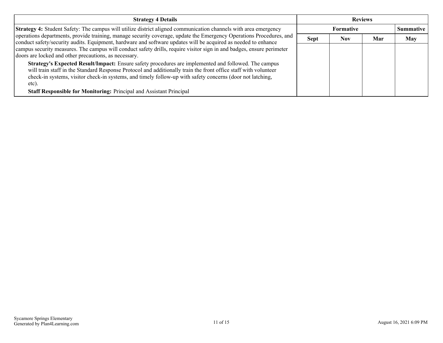| <b>Strategy 4 Details</b>                                                                                                                                                                                                                                                                                                                     | <b>Reviews</b> |                  |     |                  |
|-----------------------------------------------------------------------------------------------------------------------------------------------------------------------------------------------------------------------------------------------------------------------------------------------------------------------------------------------|----------------|------------------|-----|------------------|
| Strategy 4: Student Safety: The campus will utilize district aligned communication channels with area emergency                                                                                                                                                                                                                               |                | <b>Formative</b> |     | <b>Summative</b> |
| operations departments, provide training, manage security coverage, update the Emergency Operations Procedures, and<br>conduct safety/security audits. Equipment, hardware and software updates will be acquired as needed to enhance                                                                                                         | <b>Sept</b>    | Nov              | Mar | <b>May</b>       |
| campus security measures. The campus will conduct safety drills, require visitor sign in and badges, ensure perimeter<br>doors are locked and other precautions, as necessary.                                                                                                                                                                |                |                  |     |                  |
| Strategy's Expected Result/Impact: Ensure safety procedures are implemented and followed. The campus<br>will train staff in the Standard Response Protocol and additionally train the front office staff with volunteer<br>check-in systems, visitor check-in systems, and timely follow-up with safety concerns (door not latching,<br>etc). |                |                  |     |                  |
| Staff Responsible for Monitoring: Principal and Assistant Principal                                                                                                                                                                                                                                                                           |                |                  |     |                  |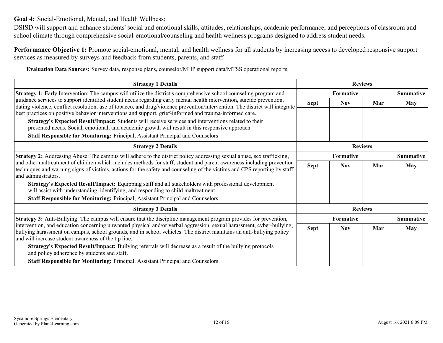<span id="page-11-0"></span>**Goal 4:** Social-Emotional, Mental, and Health Wellness:

DSISD will support and enhance students' social and emotional skills, attitudes, relationships, academic performance, and perceptions of classroom and school climate through comprehensive social-emotional/counseling and health wellness programs designed to address student needs.

**Performance Objective 1:** Promote social-emotional, mental, and health wellness for all students by increasing access to developed responsive support services as measured by surveys and feedback from students, parents, and staff.

**Evaluation Data Sources:** Survey data, response plans, counselor/MHP support data/MTSS operational reports,

| <b>Strategy 1 Details</b>                                                                                                                                                                                                                             |                  | <b>Reviews</b>   |     |                  |  |
|-------------------------------------------------------------------------------------------------------------------------------------------------------------------------------------------------------------------------------------------------------|------------------|------------------|-----|------------------|--|
| Strategy 1: Early Intervention: The campus will utilize the district's comprehensive school counseling program and                                                                                                                                    |                  | <b>Formative</b> |     | <b>Summative</b> |  |
| guidance services to support identified student needs regarding early mental health intervention, suicide prevention,<br>dating violence, conflict resolution, use of tobacco, and drug/violence prevention/intervention. The district will integrate | <b>Sept</b>      | <b>Nov</b>       | Mar | <b>May</b>       |  |
| best practices on positive behavior interventions and support, grief-informed and trauma-informed care.                                                                                                                                               |                  |                  |     |                  |  |
| Strategy's Expected Result/Impact: Students will receive services and interventions related to their                                                                                                                                                  |                  |                  |     |                  |  |
| presented needs. Social, emotional, and academic growth will result in this responsive approach.                                                                                                                                                      |                  |                  |     |                  |  |
| Staff Responsible for Monitoring: Principal, Assistant Principal and Counselors                                                                                                                                                                       |                  |                  |     |                  |  |
| <b>Strategy 2 Details</b>                                                                                                                                                                                                                             | <b>Reviews</b>   |                  |     |                  |  |
| Strategy 2: Addressing Abuse: The campus will adhere to the district policy addressing sexual abuse, sex trafficking,                                                                                                                                 |                  | <b>Formative</b> |     | <b>Summative</b> |  |
| and other maltreatment of children which includes methods for staff, student and parent awareness including prevention<br>techniques and warning signs of victims, actions for the safety and counseling of the victims and CPS reporting by staff    | <b>Sept</b>      | <b>Nov</b>       | Mar | <b>May</b>       |  |
| and administrators.                                                                                                                                                                                                                                   |                  |                  |     |                  |  |
| Strategy's Expected Result/Impact: Equipping staff and all stakeholders with professional development<br>will assist with understanding, identifying, and responding to child maltreatment.                                                           |                  |                  |     |                  |  |
| Staff Responsible for Monitoring: Principal, Assistant Principal and Counselors                                                                                                                                                                       |                  |                  |     |                  |  |
| <b>Strategy 3 Details</b>                                                                                                                                                                                                                             |                  | <b>Reviews</b>   |     |                  |  |
| <b>Strategy 3:</b> Anti-Bullying: The campus will ensure that the discipline management program provides for prevention,                                                                                                                              | <b>Formative</b> |                  |     | <b>Summative</b> |  |
| intervention, and education concerning unwanted physical and/or verbal aggression, sexual harassment, cyber-bullying,<br>bullying harassment on campus, school grounds, and in school vehicles. The district maintains an anti-bullying policy        | <b>Sept</b>      | <b>Nov</b>       | Mar | <b>May</b>       |  |
| and will increase student awareness of the tip line.                                                                                                                                                                                                  |                  |                  |     |                  |  |
| Strategy's Expected Result/Impact: Bullying referrals will decrease as a result of the bullying protocols<br>and policy adherence by students and staff.                                                                                              |                  |                  |     |                  |  |
| Staff Responsible for Monitoring: Principal, Assistant Principal and Counselors                                                                                                                                                                       |                  |                  |     |                  |  |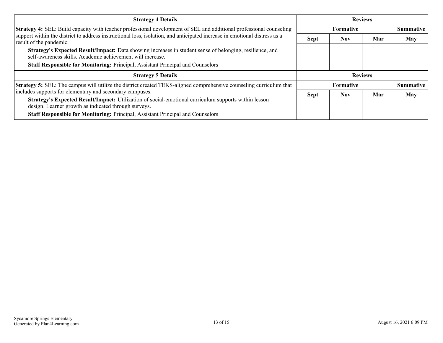| <b>Strategy 4 Details</b>                                                                                                                                              | <b>Reviews</b> |                  |     |                  |
|------------------------------------------------------------------------------------------------------------------------------------------------------------------------|----------------|------------------|-----|------------------|
| Strategy 4: SEL: Build capacity with teacher professional development of SEL and additional professional counseling                                                    |                | <b>Formative</b> |     | <b>Summative</b> |
| support within the district to address instructional loss, isolation, and anticipated increase in emotional distress as a<br>result of the pandemic.                   | <b>Sept</b>    | <b>Nov</b>       | Mar | <b>May</b>       |
| Strategy's Expected Result/Impact: Data showing increases in student sense of belonging, resilience, and<br>self-awareness skills. Academic achievement will increase. |                |                  |     |                  |
| <b>Staff Responsible for Monitoring: Principal, Assistant Principal and Counselors</b>                                                                                 |                |                  |     |                  |
| <b>Strategy 5 Details</b>                                                                                                                                              | <b>Reviews</b> |                  |     |                  |
| <b>Strategy 5:</b> SEL: The campus will utilize the district created TEKS-aligned comprehensive counseling curriculum that                                             |                | <b>Formative</b> |     | <b>Summative</b> |
| includes supports for elementary and secondary campuses.                                                                                                               | <b>Sept</b>    | <b>Nov</b>       | Mar | <b>May</b>       |
| Strategy's Expected Result/Impact: Utilization of social-emotional curriculum supports within lesson<br>design. Learner growth as indicated through surveys.           |                |                  |     |                  |
| Staff Responsible for Monitoring: Principal, Assistant Principal and Counselors                                                                                        |                |                  |     |                  |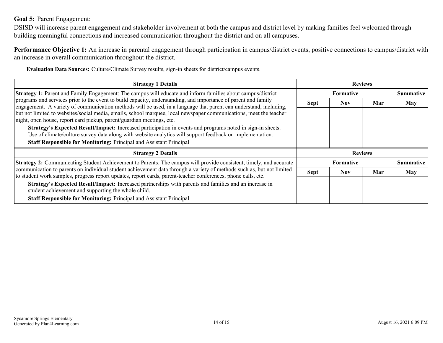### <span id="page-13-0"></span>**Goal 5:** Parent Engagement:

DSISD will increase parent engagement and stakeholder involvement at both the campus and district level by making families feel welcomed through building meaningful connections and increased communication throughout the district and on all campuses.

**Performance Objective 1:** An increase in parental engagement through participation in campus/district events, positive connections to campus/district with an increase in overall communication throughout the district.

**Evaluation Data Sources:** Culture/Climate Survey results, sign-in sheets for district/campus events.

| <b>Strategy 1 Details</b>                                                                                                                                                                                                              | <b>Reviews</b> |                  |     |                  |
|----------------------------------------------------------------------------------------------------------------------------------------------------------------------------------------------------------------------------------------|----------------|------------------|-----|------------------|
| Strategy 1: Parent and Family Engagement: The campus will educate and inform families about campus/district                                                                                                                            |                | <b>Formative</b> |     | <b>Summative</b> |
| programs and services prior to the event to build capacity, understanding, and importance of parent and family<br>engagement. A variety of communication methods will be used, in a language that parent can understand, including,    | <b>Sept</b>    | <b>Nov</b>       | Mar | May              |
| but not limited to websites/social media, emails, school marquee, local newspaper communications, meet the teacher<br>night, open house, report card pickup, parent/guardian meetings, etc.                                            |                |                  |     |                  |
| Strategy's Expected Result/Impact: Increased participation in events and programs noted in sign-in sheets.<br>Use of climate/culture survey data along with website analytics will support feedback on implementation.                 |                |                  |     |                  |
| <b>Staff Responsible for Monitoring: Principal and Assistant Principal</b>                                                                                                                                                             |                |                  |     |                  |
| <b>Strategy 2 Details</b>                                                                                                                                                                                                              | <b>Reviews</b> |                  |     |                  |
| Strategy 2: Communicating Student Achievement to Parents: The campus will provide consistent, timely, and accurate                                                                                                                     |                | <b>Formative</b> |     | <b>Summative</b> |
| communication to parents on individual student achievement data through a variety of methods such as, but not limited<br>to student work samples, progress report updates, report cards, parent-teacher conferences, phone calls, etc. | <b>Sept</b>    | <b>Nov</b>       | Mar | May              |
| Strategy's Expected Result/Impact: Increased partnerships with parents and families and an increase in<br>student achievement and supporting the whole child.                                                                          |                |                  |     |                  |
| <b>Staff Responsible for Monitoring: Principal and Assistant Principal</b>                                                                                                                                                             |                |                  |     |                  |